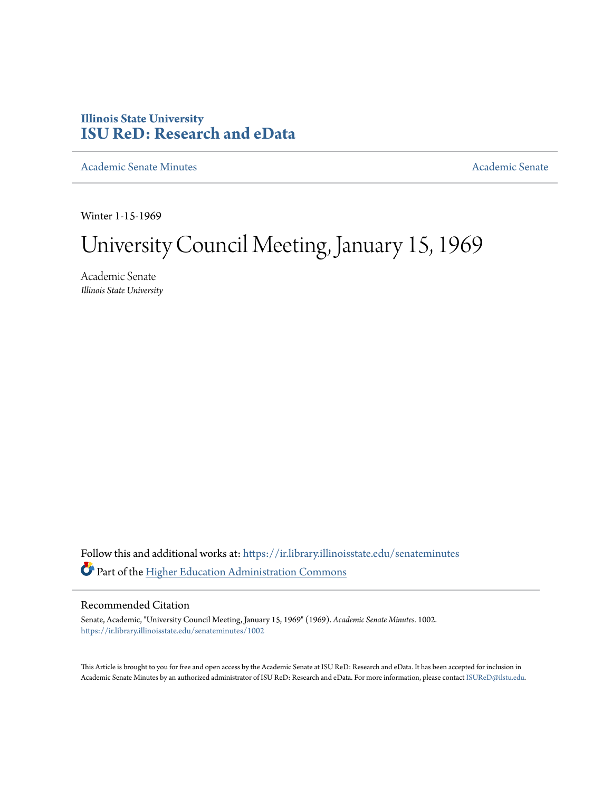## **Illinois State University [ISU ReD: Research and eData](https://ir.library.illinoisstate.edu?utm_source=ir.library.illinoisstate.edu%2Fsenateminutes%2F1002&utm_medium=PDF&utm_campaign=PDFCoverPages)**

[Academic Senate Minutes](https://ir.library.illinoisstate.edu/senateminutes?utm_source=ir.library.illinoisstate.edu%2Fsenateminutes%2F1002&utm_medium=PDF&utm_campaign=PDFCoverPages) [Academic Senate](https://ir.library.illinoisstate.edu/senate?utm_source=ir.library.illinoisstate.edu%2Fsenateminutes%2F1002&utm_medium=PDF&utm_campaign=PDFCoverPages) Academic Senate

Winter 1-15-1969

# University Council Meeting, January 15, 1969

Academic Senate *Illinois State University*

Follow this and additional works at: [https://ir.library.illinoisstate.edu/senateminutes](https://ir.library.illinoisstate.edu/senateminutes?utm_source=ir.library.illinoisstate.edu%2Fsenateminutes%2F1002&utm_medium=PDF&utm_campaign=PDFCoverPages) Part of the [Higher Education Administration Commons](http://network.bepress.com/hgg/discipline/791?utm_source=ir.library.illinoisstate.edu%2Fsenateminutes%2F1002&utm_medium=PDF&utm_campaign=PDFCoverPages)

#### Recommended Citation

Senate, Academic, "University Council Meeting, January 15, 1969" (1969). *Academic Senate Minutes*. 1002. [https://ir.library.illinoisstate.edu/senateminutes/1002](https://ir.library.illinoisstate.edu/senateminutes/1002?utm_source=ir.library.illinoisstate.edu%2Fsenateminutes%2F1002&utm_medium=PDF&utm_campaign=PDFCoverPages)

This Article is brought to you for free and open access by the Academic Senate at ISU ReD: Research and eData. It has been accepted for inclusion in Academic Senate Minutes by an authorized administrator of ISU ReD: Research and eData. For more information, please contact [ISUReD@ilstu.edu.](mailto:ISUReD@ilstu.edu)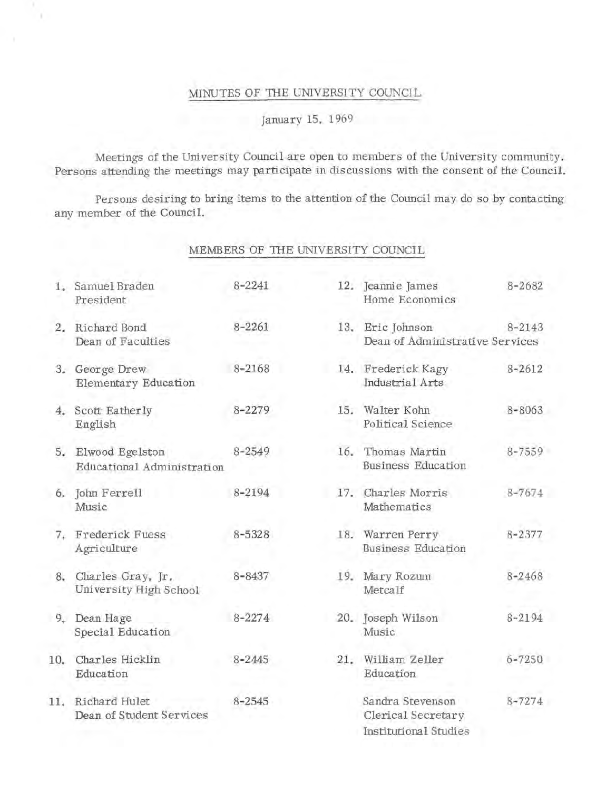#### MINUTES OF THE UNIVERSITY COUNCIL

### January 15, 1969

Meetings of the University Council are open to members of the University community. Persons attending the meetings may participate in discussions with the consent of the Council.

Persons desiring to bring items to the attention of the Council may do so by contacting any member of the Council.

#### MEMBERS OF THE UNIVERSITY COUNCIL

|     | 1. Samuel Braden<br>President                    | $8 - 2241$ | 12. Jeannie James<br>Home Economics                               | $8 - 2682$ |  |
|-----|--------------------------------------------------|------------|-------------------------------------------------------------------|------------|--|
|     | 2. Richard Bond<br>Dean of Faculties             | $8 - 2261$ | 13. Eric Johnson<br>$8 - 2143$<br>Dean of Administrative Services |            |  |
|     | 3. George Drew<br><b>Elementary Education</b>    | $8 - 2168$ | 14. Frederick Kagy<br>Industrial Arts                             | $8 - 2612$ |  |
|     | 4. Scott Eatherly<br>English                     | $8 - 2279$ | 15. Walter Kohn<br>Political Science                              | $8 - 8063$ |  |
|     | 5. Elwood Egelston<br>Educational Administration | 8-2549     | 16. Thomas Martin<br><b>Business Education</b>                    | $8 - 7559$ |  |
|     | 6. John Ferrell<br>Music                         | 8-2194     | 17. Charles Morris<br>Mathematics                                 | $8 - 7674$ |  |
| 7.  | Frederick Fuess<br>Agriculture                   | $8 - 5328$ | 18. Warren Perry<br><b>Business Education</b>                     | $8 - 2377$ |  |
| 8.  | Charles Gray, Jr.<br>University High School      | $8 - 8437$ | 19. Mary Rozum<br>Metcalf                                         | $8 - 2468$ |  |
|     | 9. Dean Hage<br>Special Education                | $8 - 2274$ | 20. Joseph Wilson<br>Music                                        | $8 - 2194$ |  |
| 10. | Charles Hicklin<br>Education                     | $8 - 2445$ | 21. William Zeller<br>Education                                   | $6 - 7250$ |  |
| 11. | Richard Hulet<br>Dean of Student Services        | $8 - 2545$ | Sandra Stevenson<br>Clerical Secretary<br>Institutional Studies   | $8 - 7274$ |  |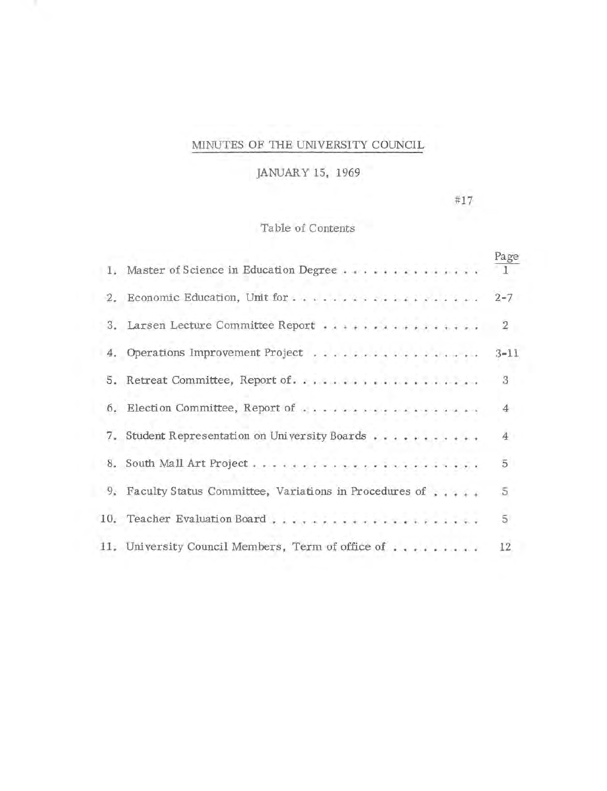# MINUTES OF THE UNIVERSITY COUNCIL

JANUARY 15, 1969

#17

Table of Contents

|    | 1. Master of Science in Education Degree              | Page<br>11.    |
|----|-------------------------------------------------------|----------------|
|    |                                                       | $2 - 7$        |
|    | 3. Larsen Lecture Committee Report                    | $\overline{2}$ |
|    | 4. Operations Improvement Project                     | $3 - 11$       |
|    | 5. Retreat Committee, Report of                       | 3              |
|    | 6. Election Committee, Report of                      | $\overline{4}$ |
| 7. | Student Representation on University Boards           | 4              |
| 8. |                                                       | 5              |
| 9. | Faculty Status Committee, Variations in Procedures of | 5.             |
|    |                                                       | $\overline{5}$ |
|    | 11. University Council Members, Term of office of     | 12             |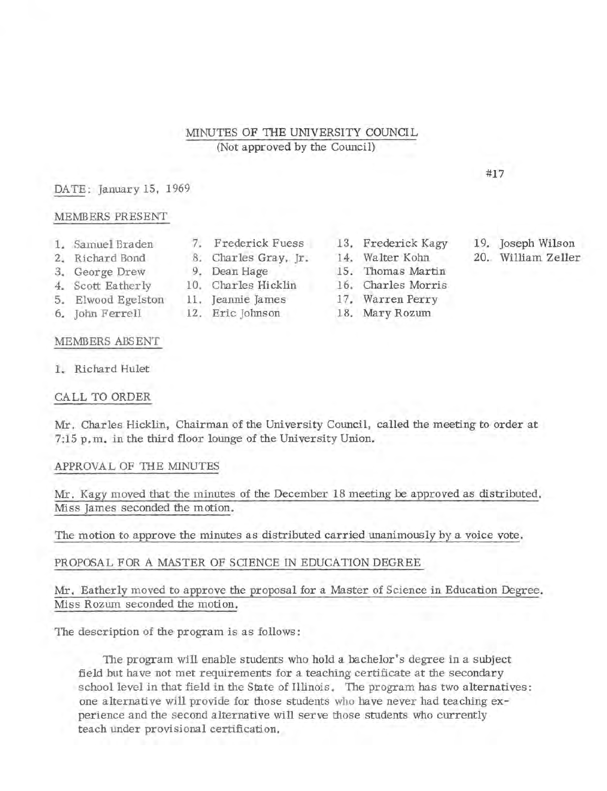#### MINUTES OF TIIE UNIVERSITY COUNCIL (Not approved by the Council)

#### DATE: January 15, 1969

#### MEMBERS PRESENT

- 
- 2. Richard Bond 8. Charles Gray, Jr.
- 
- 4. Scott Eatherly 10. Charles Hicklin
- 5. Elwood Egelston 11. Jeannie James 17. Warren Perry
- 6. John Ferrell 12. Eric Johnson 18. Mary Rozum

#### MEMBERS ABSENT

1. Richard Hulet

#### CALL TO ORDER

Mr. Charles Hicklin, Chairman of the University Council, called the meeting to order at 7:15 p. m. in the third floor lounge of the University Union.

#### APPROVAL OF THE MINUTES

Mr. Kagy moved that the minutes of the December 18 meeting be approved as distributed. Miss James seconded the motion.

The motion to approve the minutes as distributed carried unanimously by a voice vote.

#### PROPOSAL FOR A MASTER OF SCIENCE IN EDUCATION DEGREE

Mr. Eatherly moved to approve the proposal for a Master of Science in Education Degree. Miss Rozum seconded the motion.

The description of the program is as follows :

The program will enable students who hold a bachelor's degree in a subject field but have not met requirements for a teaching certificate at the secondary school level in that field in the State of Illinois. The program has two alternatives: one alternative will provide for those students who have never had teaching experience and the second alternative will serve those students who currently teach under provisional certification.

- 1. Samuel Braden 7. Frederick Fuess 13. Frederick Kagy<br>2. Richard Bond 8. Charles Gray. Ir. 14. Walter Kohn
	-
- 3. George Drew 9. Dean Hage 15. Thomas Martin<br>4. Scott Eatherly 10. Charles Hicklin 16. Charles Morris
	-
	-

19. Joseph Wilson

#17

20. William Zeller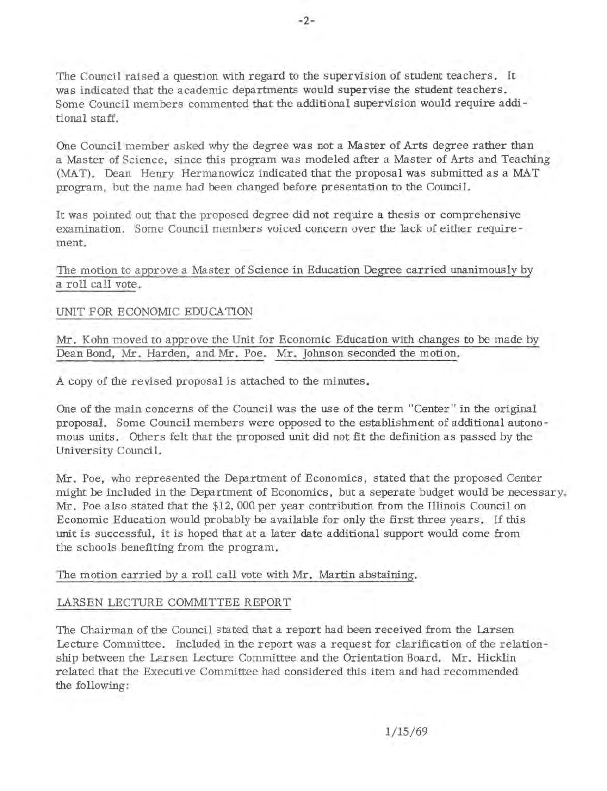The Council raised a question with regard to the supervision of student teachers. It was indicated that the academic departments would supervise the student teachers. Some Council members commented that the additional supervision would require additional staff.

One Council member asked why the degree was not a Master of Arts degree rather than a Master of Science, since this program was modeled after a Master of Arts and Teaching (MAT). Dean Henry Hermanowicz indicated that the proposal was submitted as a MAT program, but the name had been changed before presentation to the Council.

It was pointed out that the proposed degree did not require a thesis or comprehensive examination. Some Council members voiced concern over the Jack of either requirement.

The motion to approve a Master of Science in Education Degree carried unanimously by a roll call vote.

#### UNIT FOR ECONOMIC EDUCATION

Mr. Kohn moved to approve the Unit for Economic Education with changes to be made by Dean Bond, Mr. Harden, and Mr. Poe. Mr. Johnson seconded the motion.

A copy of the revised proposal is attached to the minutes.

One of the main concerns of the Council was the use of the term "Center" in the original proposal. Some Council members were opposed to the establishment of additional autonomous units. Others felt that the proposed unit did not fit the definition as passed by the University Council.

Mr. Poe, who represented the Department of Economics, stated that the proposed Center might be included in the Department of Economics, but a seperate budget would be necessary. Mr. Poe also stated that the \$12, 000 per year contribution from the Illinois Council on Economic Education would probably be available for only the first three years. If this unit is successful, it is hoped that at a later date additional support would come from the schools benefiting from the program.

#### The motion carried by a roll call vote with Mr. Martin abstaining.

#### LARSEN LECTURE COMMITTEE REPORT

The Chairman of the Council stated that a report had been received from the Larsen Lecture Committee. Included in the report was a request for clarification of the relationship between the Larsen Lecture Committee and the Orientation Board. Mr. Hicklin related that the Executive Committee had considered this item and had recommended the following: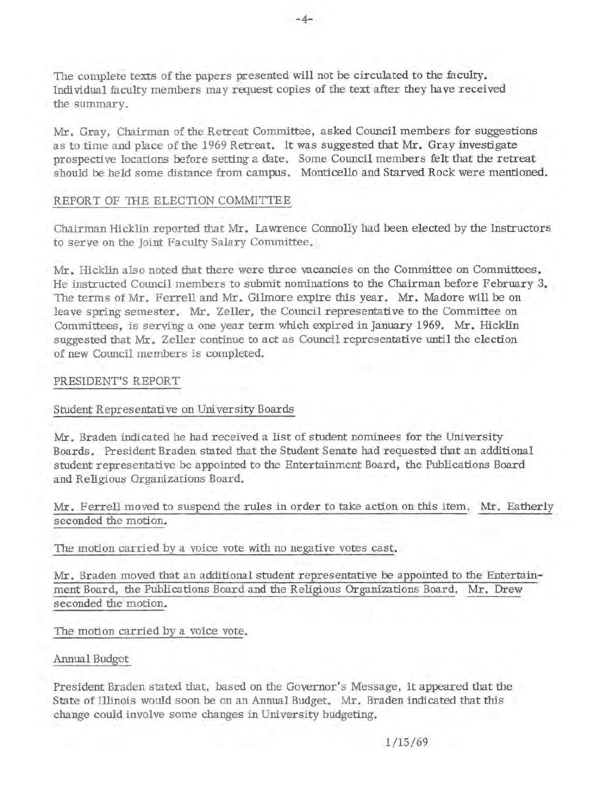The complete texts of the papers presented will not be circulated to the faculty. Individual faculty members may request copies of the text after they have received the summary.

Mr. Gray, Chairman of the Retreat Committee, asked Council members for suggestions as to time and place of the 1969 Retreat. It was suggested that Mr. Gray investigate prospective locations before setting a date. Some Council members felt that the retreat should be held some distance from campus. Monticello and Starved Rock were mentioned.

#### REPORT OF THE ELECTION COMMITTEE

Chairman Hicklin reported that Mr. Lawrence Connolly had been elected by the Instructors to serve on the Joint Faculty Salary Committee.

Mr. Hicklin also noted that there were three vacancies on the Committee on Committees. He instructed Council members to submit nominations to the Chairman before February 3. The terms of Mr. Ferrell and Mr. Gilmore expire this year. Mr. Madore will be on leave spring semester. Mr. Zeller, the Council representative to the Committee on Committees, is serving a one year term which expired in January 1969. Mr. Hicklin suggested that Mr. Zeller continue to act as Council representative until the election of new Council members is completed.

#### PRESIDENT'S REPORT

#### Student Representative on University Boards

Mr. Braden indicated he had received a list of student nominees for the University Boards. President Braden stated that the Student Senate had requested that an additional student representative be appointed to the Entertainment Board, the Publications Board and Religious Organizations Board.

#### Mr. Ferrell moved to suspend the rules in order to take action on this item. Mr. Eatherly seconded the motion.

The motion carried by a voice vote with no negative votes cast.

Mr. Braden moved that an additional student representative be appointed to the Entertainment Board, the Publications Board and the Religious Organizations Board. Mr. Drew seconded the motion.

The motion carried by a voice vote.

#### Annual Budget

President Braden stated that, based on the Governor's Message, it appeared that the State of Illinois would soon be on an Annual Budget. Mr. Braden indicated that this change could involve some changes in University budgeting.

1/15/69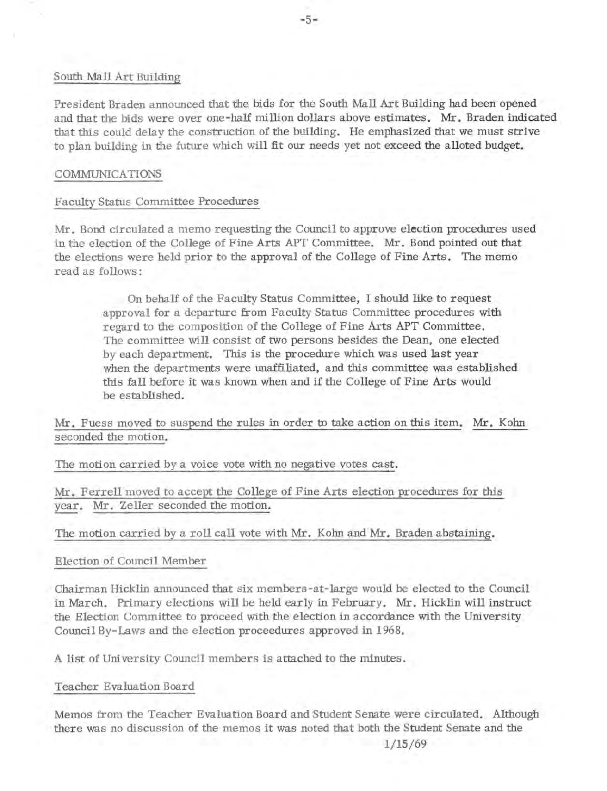#### South Mall Art Building

President Braden announced that the bids for the South Mall Art Building had been opened and that the bids were over one-half million dollars above estimates. Mr. Braden indicated that this could delay the construction of the building. He emphasized that we must strive to plan building in the future which will fit our needs yet not exceed the alloted budget,

#### COMMUNICATIONS

#### Faculty Status Committee Procedures

Mr. Bond circulated a memo requesting the Council to approve **election** procedures used in the election of the College of Fine Arts APT Committee. Mr. Bond pointed out that the elections were held prior to the approval of the College of Fine Arts. The memo read as follows:

On behalf of the Faculty Status Committee, I should like to request approval for a departure from Faculty Status Committee procedures with regard to the composition of the College of Fine Arts APT Committee. The committee will consist of two persons besides the Dean, one elected by each department. This is the procedure which was used last year when the departments were unaffiliated, and this committee was established this fall before it was known when and if the College of Fine Arts would be established.

Mr. Fuess moved to suspend the rules in order to take action on this item. Mr. Kohn seconded the motion.

The motion carried by a voice vote with no negative votes cast.

Mr. Ferrell moved to accept the College of Fine Arts election procedures for this year. **Mr.** Zeller seconded the motion.

The motion carried by a roll call vote with Mr. Kohn and Mr. Braden abstaining.

Election of Council Member

Chairman Hicklin announced that six members-at-large would be elected to the Council in March. Primary elections will be held early in February. Mr. Hicklin will instruct the Election Committee to proceed with the election in accordance with the University Council By-Laws and the election proceedures approved in 1968.

A list of University Council members is attached to the minutes.

#### Teacher Evaluation Board

Memos from the Teacher Evaluation Board and Student Senate were circulated. Although there was no discussion of the memos it was noted that both the Student Senate and the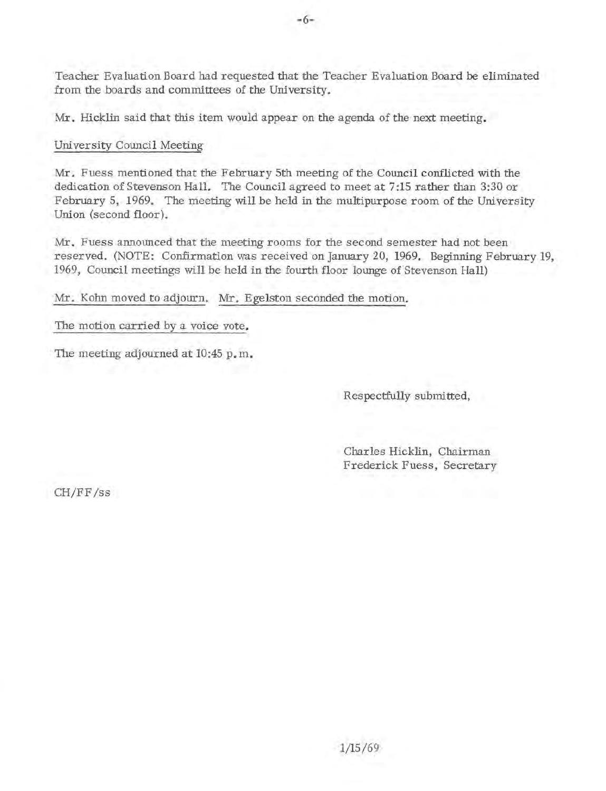Teacher Evaluation Board had requested that the Teacher Evaluation Board be eliminated from the boards and committees of the University.

Mr. Hicklin said that this item would appear on the agenda of the next meeting.

#### University Council Meeting

Mr. Fuess mentioned that the February 5th meeting of the Council conflicted with the dedication of Stevenson Hall. The Council agreed to meet at 7:15 rather than 3:30 or February 5, 1969. The meeting will be held in the multipurpose room of the University Union (second floor).

Mr. Fuess announced that the meeting rooms for the second semester had not been reserved. (NOTE: Confirmation was received on January 20, 1969. Beginning February 19, 1969, Council meetings will be held in the fourth floor lounge of Stevenson Hall)

Mr. Kohn moved to adjourn. Mr. Egelston seconded the motion.

#### The motion carried by a voice vote.

The meeting adjourned at 10:45 p. m.

Respectfully submitted,

Charles Hicklin, Chairman Frederick Fuess, Secretary

CH/FF /ss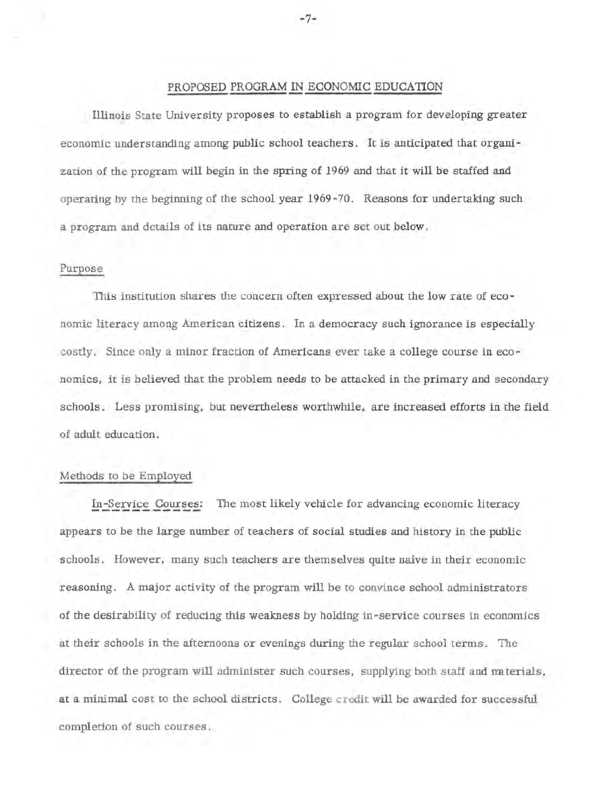#### PROPOSED PROGRAM IN ECONOMIC EDUCATION

Illinois State University proposes to establish a program for developing greater economic understanding among public school teachers. It is anticipated that organi zation of the program will begin in the spring of 1969 and that it will be staffed and operating by the beginning of the school year 1969-70. Reasons for undertaking such a program and details of its nature and operation are set out below.

#### Purpose

This institution shares the concern often expressed about the low rate of economic literacy among American citizens. In a democracy such ignorance is especially costly. Since only a minor fraction of Americans ever take a college course in economics, it is believed that the problem needs to be attacked in the primary and secondary schools. Less promising, but nevertheless worthwhile, are increased efforts in the field of adult education.

#### Methods to be Employed

In-Service Courses: The most likely vehicle for advancing economic literacy appears to be the large number of teachers of social studies and history in the public schools. However, many such teachers are themselves quite naive in their economic reasoning. A major activity of the program **will** be to convince school administrators of the desirability of reducing this weakness by holding in-service courses in economics at their schools in the afternoons or evenings during the regular school terms. The director of the program will administer such courses, supplying both staff and rmterials, at a minimal cost to the school districts. College credit will be awarded for successful completion of such courses.

-7-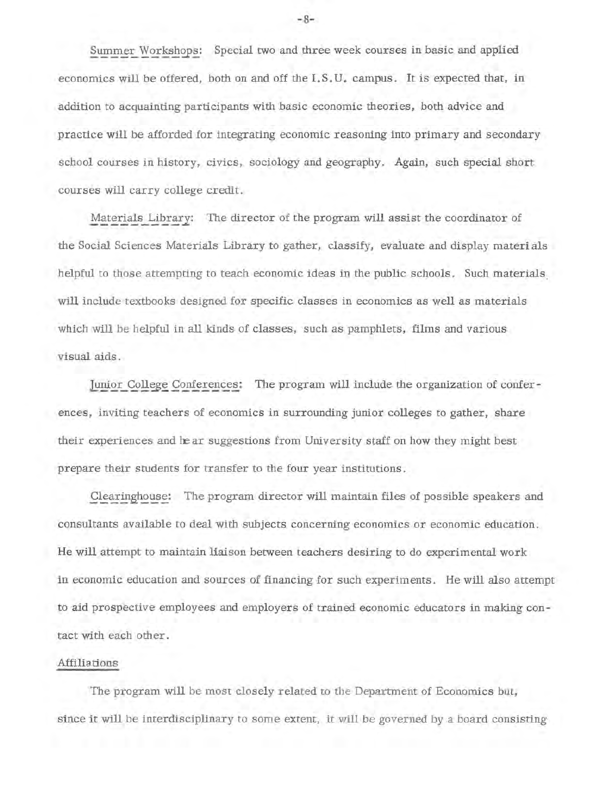Summer Workshops: Special two and three week courses in basic and applied economics will be offered, both on and off the I.S.U. campus. It is expected that, in addition to acquainting participants with basic economic theories, both advice and practice will be afforded for integrating economic reasoning into primary and secondary school courses in history, civics, sociology and geography. Again, such special short courses will carry college credit.

Materials Library: The director of the program will assist the coordinator of the Social Sciences Materials Library to gather, classify, evaluate and display materials helpful to those attempting to teach economic ideas in the public schools. Such materials will include textbooks designed for specific classes in economics as well as materials which will be helpful in all kinds of classes, such as pamphlets, films and various visual aids.

Junior College Conferences: The program will include the organization of conferences, inviting teachers of economics in surrounding junior colleges to gather, share their experiences and hear suggestions from University staff on how they might best prepare their students for transfer to the four year institutions.

Clearinghouse: The program director will maintain files of possible speakers and consultants available to deal with subjects concerning economics or economic education. He will attempt to maintain liaison between teachers desiring to do experimental work in economic education and sources of financing for such experiments. He will also attempt to aid prospective employees and employers of trained economic educators in making contact with each other.

#### Affiliations

The program will be most closely related to the Department of Economics but, since it will be interdisciplinary to some extent, it will be governed by a board consisting

-8-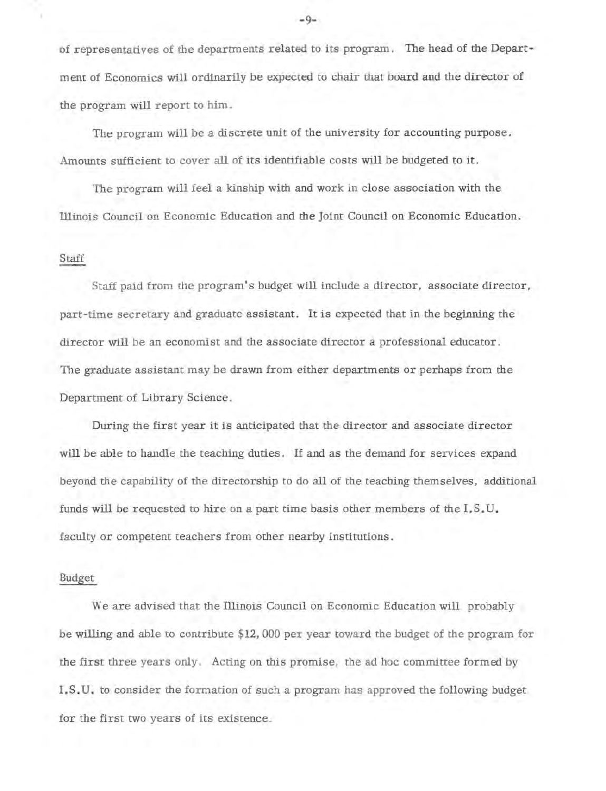of representatives of the departments related to its program. The head of the Department of Economics will ordinarily be expected to chair that board and the director of the program will report to him.

The program will be a discrete unit of the university for accounting purpose. Amounts sufficient to cover all of its identifiable costs will be budgeted to it.

The program will feel a kinship with and work in close association with the Illinois Council on Economic Education and the Joint Council on Economic Education.

#### Staff

Staff paid from the program's budget will include a director, associate director, part-time secretary and graduate assistant. It is expected that in the beginning the director will be an economist and the associate director a professional educator. The graduate assistant may be drawn from either departments or perhaps from the Department of Library Science.

During the first year it is anticipated that the director and associate director **will** be able to handle the teaching duties. If and as the demand for services expand beyond the capability of the directorship to do all of the teaching themselves, additional funds will be requested to hire on a part time basis other members of the I.S.U. faculty or competent teachers from other nearby institutions.

#### Budget

We are advised that the Illinois Council on Economic Education will probably be willing and able to contribute \$12,000 per year toward the budget of the program for the first three years only. Acting on this promise, the ad hoc committee formed by I. S. U. to consider the formation of such a program has approved the following budget for the first two years of its existence.

-9-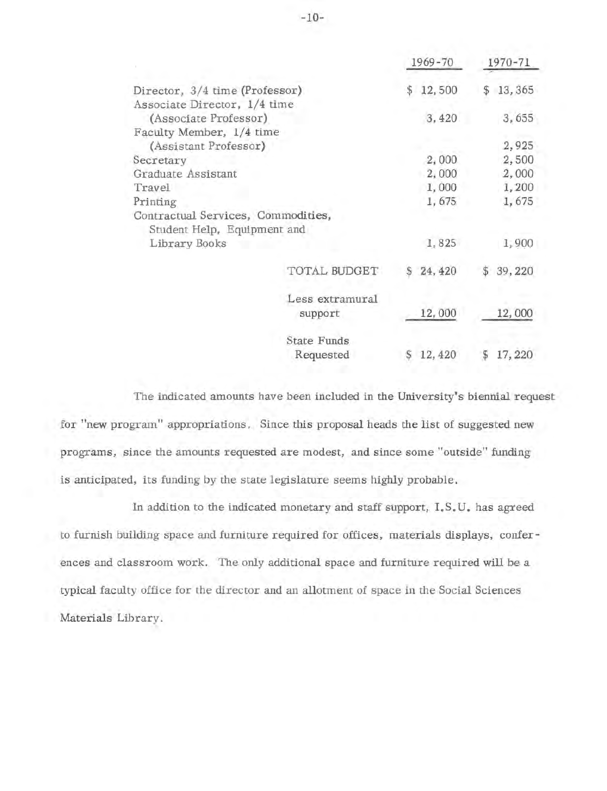|                                                                   |                    |                | 1969-70  |    | 1970-71 |
|-------------------------------------------------------------------|--------------------|----------------|----------|----|---------|
| Director, 3/4 time (Professor).                                   |                    | $\mathfrak{F}$ | 12,500   | S  | 13,365  |
| Associate Director, 1/4 time<br>(Associate Professor)             |                    |                | 3,420    |    | 3,655   |
| Faculty Member, 1/4 time                                          |                    |                |          |    |         |
| (Assistant Professor)                                             |                    |                |          |    | 2,925   |
| Secretary                                                         |                    |                | 2,000    |    | 2,500   |
| Graduate Assistant                                                |                    |                | 2,000    |    | 2,000   |
| Travel                                                            |                    |                | 1,000    |    | 1,200   |
| Printing                                                          |                    |                | 1,675    |    | 1,675   |
| Contractual Services, Commodities,<br>Student Help, Equipment and |                    |                |          |    |         |
| Library Books                                                     |                    |                | 1,825    |    | 1,900   |
|                                                                   | TOTAL BUDGET       |                | 24, 420  |    | 39,220  |
|                                                                   | Less extramural    |                |          |    |         |
|                                                                   | support            |                | 12,000   |    | 12,000  |
|                                                                   | <b>State Funds</b> |                |          |    |         |
|                                                                   | Requested          |                | \$12,420 | \$ | 17,220  |

The indicated amounts have been included in the University's biennial request for "new program" appropriations. Since this proposal heads the list of suggested new programs, since the amounts requested are modest, and since some "outside" funding is anticipated, its funding by the state legislature seems highly probable.

In addition to the indicated monetary and staff support, I. S. U. has agreed to furnish building space and furniture required for offices, materials displays, conferences and classroom work. The only additional space and furniture required will be a typical faculty office for the director and an allotment of space in the Social Sciences Materials Library.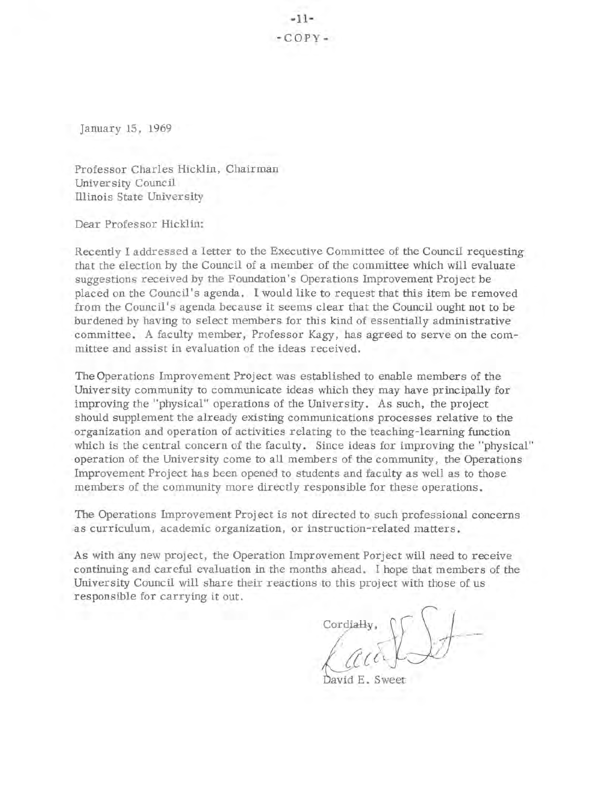January 15, 1969

Professor Charles Hicklin, Chairman University Council Illinois State University

Dear Professor Hicklin:

Recently I addressed a letter to the Executive Committee of the Council requesting that the election by the Council of a member of the committee which will evaluate suggestions received by the Foundation's Operations Improvement Project be placed on the Council's agenda. I would like to request that this item be removed from the Council's agenda because it seems clear that the Council ought not to be burdened by having to select members for this kind of essentially administrative committee. A faculty member, Professor Kagy, has agreed to serve on the committee and assist in evaluation of the ideas received.

The Operations Improvement Project was established to enable members of the University community to communicate ideas which they may have principally for improving the "physical" operations of the University. As such, the project should supplement the already existing communications processes relative to the organization and operation of activities relating to the teaching-learning function which is the central concern of the faculty. Since ideas for improving the "physical" operation of the University come to all members of the community, the Operations Improvement Project has been opened to students and faculty as well as to those members of the community more directly responsible for these operations.

The Operations Improvement Project is not directed to such professional concerns as curriculum, academic organization, or instruction-related matters.

As with any new project, the Operation Improvement Porject will need to receive continuing and careful evaluation in the months ahead. I hope that members of the University Council will share their reactions to this project with those of us responsible for carrying it out.

 ${C}{\circ}$   $\text{C}{\circ}$   $\text{C}{\circ}$ 

David E. Sweet

-11-  $-COPV -$